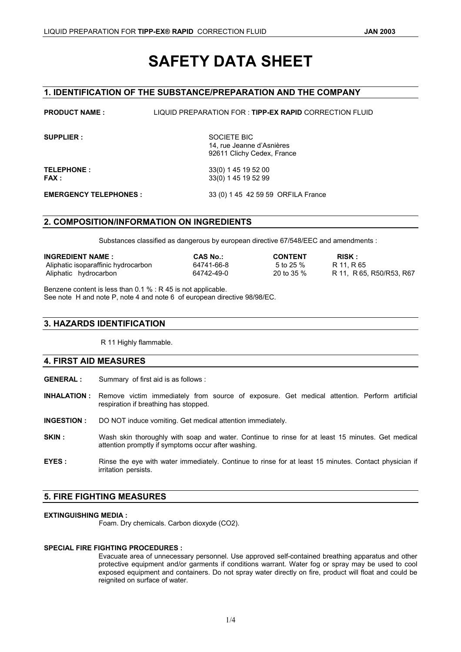# **SAFETY DATA SHEET**

# **1. IDENTIFICATION OF THE SUBSTANCE/PREPARATION AND THE COMPANY**

| <b>PRODUCT NAME:</b>          | LIQUID PREPARATION FOR : TIPP-EX RAPID CORRECTION FLUID                |
|-------------------------------|------------------------------------------------------------------------|
| <b>SUPPLIER:</b>              | SOCIETE BIC<br>14, rue Jeanne d'Asnières<br>92611 Clichy Cedex, France |
| <b>TELEPHONE:</b><br>FAX :    | 33(0) 1 45 19 52 00<br>33(0) 1 45 19 52 99                             |
| <b>EMERGENCY TELEPHONES :</b> | 33 (0) 1 45 42 59 59 ORFILA France                                     |

## **2. COMPOSITION/INFORMATION ON INGREDIENTS**

Substances classified as dangerous by european directive 67/548/EEC and amendments :

| <b>INGREDIENT NAME:</b>             | <b>CAS No.:</b> | <b>CONTENT</b> | <b>RISK:</b>                |
|-------------------------------------|-----------------|----------------|-----------------------------|
| Aliphatic isoparaffinic hydrocarbon | 64741-66-8      | 5 to 25 %      | R 11. R 65                  |
| Aliphatic hydrocarbon               | 64742-49-0      | 20 to 35 $%$   | R 11, R 65, R 50/R 53, R 67 |

Benzene content is less than 0.1 % : R 45 is not applicable. See note H and note P, note 4 and note 6 of european directive 98/98/EC.

## **3. HAZARDS IDENTIFICATION**

R 11 Highly flammable.

## **4. FIRST AID MEASURES**

**GENERAL :** Summary of first aid is as follows :

- **INHALATION :** Remove victim immediately from source of exposure. Get medical attention. Perform artificial respiration if breathing has stopped.
- **INGESTION :** DO NOT induce vomiting. Get medical attention immediately.
- **SKIN** : Wash skin thoroughly with soap and water. Continue to rinse for at least 15 minutes. Get medical attention promptly if symptoms occur after washing.
- **EYES :** Rinse the eye with water immediately. Continue to rinse for at least 15 minutes. Contact physician if irritation persists.

## **5. FIRE FIGHTING MEASURES**

## **EXTINGUISHING MEDIA :**

Foam. Dry chemicals. Carbon dioxyde (CO2).

#### **SPECIAL FIRE FIGHTING PROCEDURES :**

Evacuate area of unnecessary personnel. Use approved self-contained breathing apparatus and other protective equipment and/or garments if conditions warrant. Water fog or spray may be used to cool exposed equipment and containers. Do not spray water directly on fire, product will float and could be reignited on surface of water.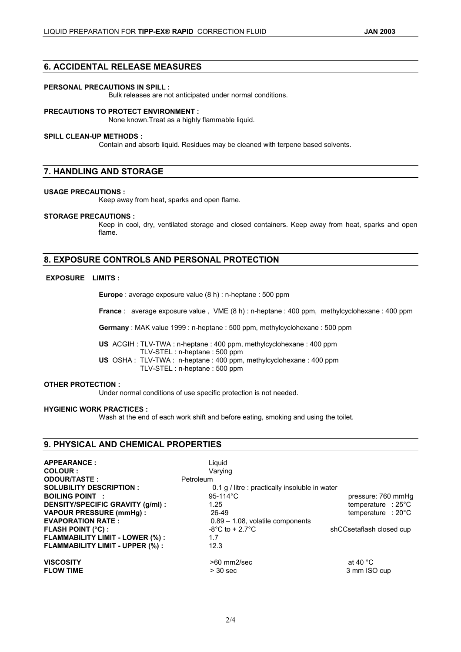## **6. ACCIDENTAL RELEASE MEASURES**

#### **PERSONAL PRECAUTIONS IN SPILL :**

Bulk releases are not anticipated under normal conditions.

#### **PRECAUTIONS TO PROTECT ENVIRONMENT :**

None known.Treat as a highly flammable liquid.

#### **SPILL CLEAN-UP METHODS :**

Contain and absorb liquid. Residues may be cleaned with terpene based solvents.

## **7. HANDLING AND STORAGE**

#### **USAGE PRECAUTIONS :**

Keep away from heat, sparks and open flame.

#### **STORAGE PRECAUTIONS :**

Keep in cool, dry, ventilated storage and closed containers. Keep away from heat, sparks and open flame.

# **8. EXPOSURE CONTROLS AND PERSONAL PROTECTION**

## **EXPOSURE LIMITS :**

**Europe** : average exposure value (8 h) : n-heptane : 500 ppm

**France** : average exposure value , VME (8 h) : n-heptane : 400 ppm, methylcyclohexane : 400 ppm

**Germany** : MAK value 1999 : n-heptane : 500 ppm, methylcyclohexane : 500 ppm

**US** ACGIH : TLV-TWA : n-heptane : 400 ppm, methylcyclohexane : 400 ppm TLV-STEL : n-heptane : 500 ppm **US** OSHA : TLV-TWA : n-heptane : 400 ppm, methylcyclohexane : 400 ppm TLV-STEL : n-heptane : 500 ppm

#### **OTHER PROTECTION :**

Under normal conditions of use specific protection is not needed.

#### **HYGIENIC WORK PRACTICES :**

Wash at the end of each work shift and before eating, smoking and using the toilet.

## **9. PHYSICAL AND CHEMICAL PROPERTIES**

| <b>APPEARANCE:</b><br>COLOUR :         | Liguid<br>Varving                              |                              |
|----------------------------------------|------------------------------------------------|------------------------------|
| <b>ODOUR/TASTE:</b>                    | Petroleum                                      |                              |
| <b>SOLUBILITY DESCRIPTION:</b>         | 0.1 g / litre : practically insoluble in water |                              |
| <b>BOILING POINT :</b>                 | 95-114 $^{\circ}$ C                            | pressure: 760 mmHq           |
| DENSITY/SPECIFIC GRAVITY (g/ml) :      | 1.25                                           | temperature : $25^{\circ}$ C |
| <b>VAPOUR PRESSURE (mmHq):</b>         | 26-49                                          | temperature : $20^{\circ}$ C |
| <b>EVAPORATION RATE:</b>               | $0.89 - 1.08$ , volatile components            |                              |
| <b>FLASH POINT (°C) :</b>              | $-8^{\circ}$ C to + 2.7 $^{\circ}$ C           | shCCsetaflash closed cup     |
| <b>FLAMMABILITY LIMIT - LOWER (%):</b> | 1.7                                            |                              |
| FLAMMABILITY LIMIT - UPPER (%):        | 12.3                                           |                              |
| <b>VISCOSITY</b>                       | $>60$ mm2/sec                                  | at 40 $^{\circ}$ C           |
| <b>FLOW TIME</b>                       | $>$ 30 sec                                     | 3 mm ISO cup                 |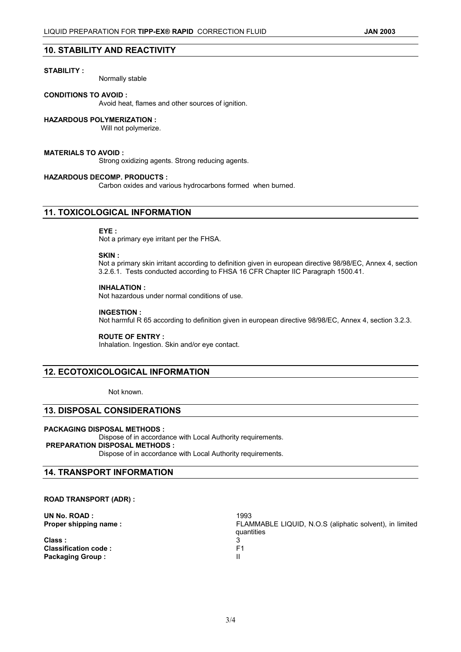#### **STABILITY :**

Normally stable

#### **CONDITIONS TO AVOID :**

Avoid heat, flames and other sources of ignition.

#### **HAZARDOUS POLYMERIZATION :**

Will not polymerize.

#### **MATERIALS TO AVOID :**

Strong oxidizing agents. Strong reducing agents.

#### **HAZARDOUS DECOMP. PRODUCTS :**

Carbon oxides and various hydrocarbons formed when burned.

## **11. TOXICOLOGICAL INFORMATION**

#### **EYE :**

Not a primary eye irritant per the FHSA.

#### **SKIN :**

Not a primary skin irritant according to definition given in european directive 98/98/EC, Annex 4, section 3.2.6.1. Tests conducted according to FHSA 16 CFR Chapter IIC Paragraph 1500.41.

## **INHALATION :**

Not hazardous under normal conditions of use.

#### **INGESTION :**

Not harmful R 65 according to definition given in european directive 98/98/EC, Annex 4, section 3.2.3.

#### **ROUTE OF ENTRY :**

Inhalation. Ingestion. Skin and/or eye contact.

## **12. ECOTOXICOLOGICAL INFORMATION**

Not known.

## **13. DISPOSAL CONSIDERATIONS**

#### **PACKAGING DISPOSAL METHODS :**

Dispose of in accordance with Local Authority requirements.  **PREPARATION DISPOSAL METHODS :** Dispose of in accordance with Local Authority requirements.

## **14. TRANSPORT INFORMATION**

#### **ROAD TRANSPORT (ADR) :**

| UN No. ROAD:                | 1993                                                                  |
|-----------------------------|-----------------------------------------------------------------------|
| Proper shipping name:       | FLAMMABLE LIQUID, N.O.S (aliphatic solvent), in limited<br>quantities |
| Class:                      |                                                                       |
| <b>Classification code:</b> | F1                                                                    |
| <b>Packaging Group:</b>     | ш                                                                     |